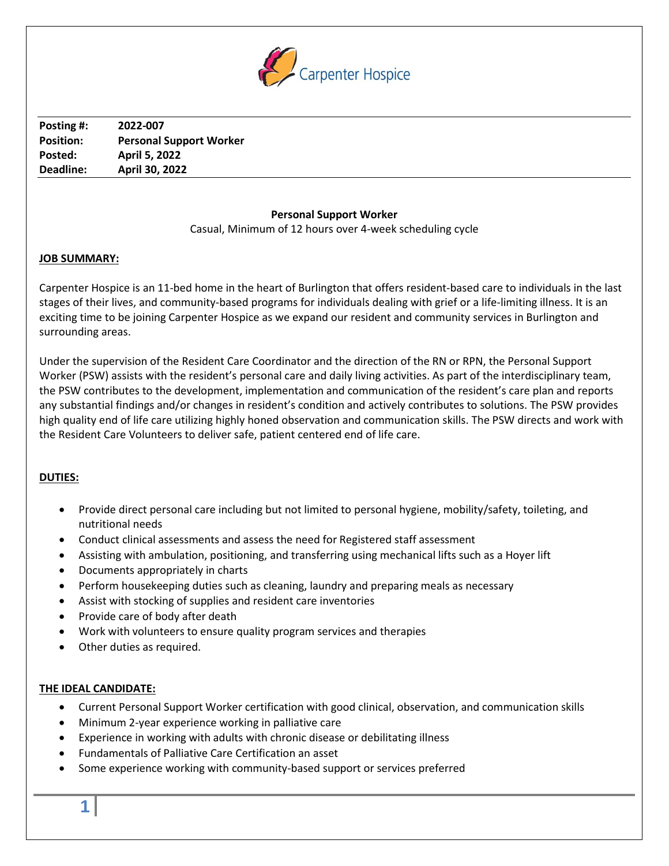

**Posting #: 2022-007 Position: Personal Support Worker Posted: April 5, 2022 Deadline: April 30, 2022**

# **Personal Support Worker**

Casual, Minimum of 12 hours over 4-week scheduling cycle

### **JOB SUMMARY:**

Carpenter Hospice is an 11-bed home in the heart of Burlington that offers resident-based care to individuals in the last stages of their lives, and community-based programs for individuals dealing with grief or a life-limiting illness. It is an exciting time to be joining Carpenter Hospice as we expand our resident and community services in Burlington and surrounding areas.

Under the supervision of the Resident Care Coordinator and the direction of the RN or RPN, the Personal Support Worker (PSW) assists with the resident's personal care and daily living activities. As part of the interdisciplinary team, the PSW contributes to the development, implementation and communication of the resident's care plan and reports any substantial findings and/or changes in resident's condition and actively contributes to solutions. The PSW provides high quality end of life care utilizing highly honed observation and communication skills. The PSW directs and work with the Resident Care Volunteers to deliver safe, patient centered end of life care.

# **DUTIES:**

- Provide direct personal care including but not limited to personal hygiene, mobility/safety, toileting, and nutritional needs
- Conduct clinical assessments and assess the need for Registered staff assessment
- Assisting with ambulation, positioning, and transferring using mechanical lifts such as a Hoyer lift
- Documents appropriately in charts
- Perform housekeeping duties such as cleaning, laundry and preparing meals as necessary
- Assist with stocking of supplies and resident care inventories
- Provide care of body after death
- Work with volunteers to ensure quality program services and therapies
- Other duties as required.

# **THE IDEAL CANDIDATE:**

- Current Personal Support Worker certification with good clinical, observation, and communication skills
- Minimum 2-year experience working in palliative care
- Experience in working with adults with chronic disease or debilitating illness
- Fundamentals of Palliative Care Certification an asset
- Some experience working with community-based support or services preferred